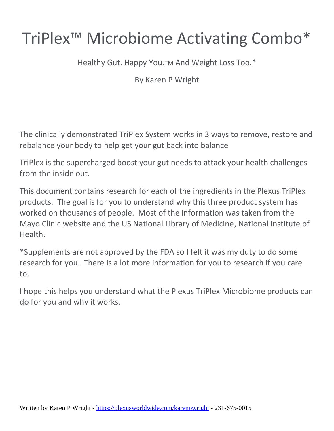# TriPlex™ Microbiome Activating Combo\*

Healthy Gut. Happy You.TM And Weight Loss Too.\*

By Karen P Wright

The clinically demonstrated TriPlex System works in 3 ways to remove, restore and rebalance your body to help get your gut back into balance

TriPlex is the supercharged boost your gut needs to attack your health challenges from the inside out.

This document contains research for each of the ingredients in the Plexus TriPlex products. The goal is for you to understand why this three product system has worked on thousands of people. Most of the information was taken from the Mayo Clinic website and the US National Library of Medicine, National Institute of **Health** 

\*Supplements are not approved by the FDA so I felt it was my duty to do some research for you. There is a lot more information for you to research if you care to.

I hope this helps you understand what the Plexus TriPlex Microbiome products can do for you and why it works.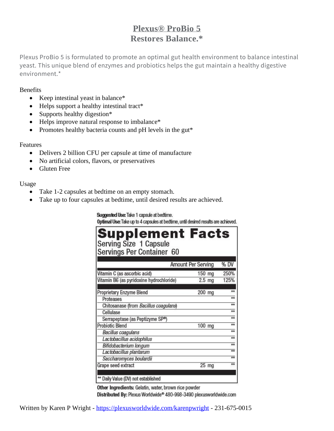# **Plexus® ProBio 5 Restores Balance.\***

Plexus ProBio 5 is formulated to promote an optimal gut health environment to balance intestinal yeast. This unique blend of enzymes and probiotics helps the gut maintain a healthy digestive environment \*

#### Benefits

- Keep intestinal yeast in balance\*
- Helps support a healthy intestinal tract\*
- Supports healthy digestion\*
- Helps improve natural response to imbalance\*
- Promotes healthy bacteria counts and pH levels in the gut\*

#### Features

- Delivers 2 billion CFU per capsule at time of manufacture
- No artificial colors, flavors, or preservatives
- Gluten Free

# Usage

- Take 1-2 capsules at bedtime on an empty stomach.
- Take up to four capsules at bedtime, until desired results are achieved.

#### Suggested Use: Take 1 capsule at bedtime.

Optimal Use: Take up to 4 capsules at bedtime, until desired results are achieved.

| <b>Supplement Facts</b><br>Serving Size 1 Capsule<br>Servings Per Container 60 |                           |                     |
|--------------------------------------------------------------------------------|---------------------------|---------------------|
|                                                                                | <b>Amount Per Serving</b> | % DV                |
| Vitamin C (as ascorbic acid)                                                   | 150 mg                    | 250%                |
| Vitamin B6 (as pyridoxine hydrochloride)                                       | $2.5$ mg                  | 125%                |
| Proprietary Enzyme Blend<br>Proteases                                          | 200 mg                    | $\star\star$<br>$+$ |
| Chitosanase (from Bacillus coagulans)                                          |                           | ÷÷                  |
| Cellulase                                                                      |                           | $+$                 |
| Serrapeptase (as Peptizyme SP <sup>®</sup> )                                   |                           | $+$                 |
| <b>Probiotic Blend</b>                                                         | 100 mg                    | $\overline{**}$     |
| <b>Bacillus coagulans</b>                                                      |                           | $+ +$               |
| Lactobacillus acidophilus                                                      |                           | $+$                 |
| Bifidobacterium longum                                                         |                           | $\overline{+}$      |
| Lactobacillus plantarum                                                        |                           | ≖                   |
| Saccharomyces boulardii                                                        |                           | $+ +$               |
| Grape seed extract                                                             | 25 mg                     | $+$                 |
| ** Daily Value (DV) not established                                            |                           |                     |

Other Ingredients: Gelatin, water, brown rice powder Distributed By: Plexus Worldwide® 480-998-3490 plexusworldwide.com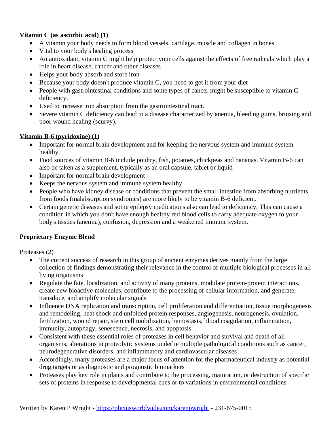# **Vitamin C (as ascorbic acid) (1)**

- A vitamin your body needs to form blood vessels, cartilage, muscle and collagen in bones.
- Vital to your body's healing process
- An antioxidant, vitamin C might help protect your cells against the effects of free radicals which play a role in heart disease, cancer and other diseases
- Helps your body absorb and store iron
- Because your body doesn't produce vitamin C, you need to get it from your diet
- People with gastrointestinal conditions and some types of cancer might be susceptible to vitamin C deficiency.
- Used to increase iron absorption from the gastrointestinal tract.
- Severe vitamin C deficiency can lead to a disease characterized by anemia, bleeding gums, bruising and poor wound healing (scurvy).

# **Vitamin B-6 (pyridoxine) (1)**

- Important for normal brain development and for keeping the nervous system and immune system healthy.
- Food sources of vitamin B-6 include poultry, fish, potatoes, chickpeas and bananas. Vitamin B-6 can also be taken as a supplement, typically as an oral capsule, tablet or liquid
- Important for normal brain development
- Keeps the nervous system and immune system healthy
- People who have kidney disease or conditions that prevent the small intestine from absorbing nutrients from foods (malabsorption syndromes) are more likely to be vitamin B-6 deficient.
- Certain genetic diseases and some epilepsy medications also can lead to deficiency. This can cause a condition in which you don't have enough healthy red blood cells to carry adequate oxygen to your body's tissues (anemia), confusion, depression and a weakened immune system.

# **Proprietary Enzyme Blend**

# Proteases (2)

- The current success of research in this group of ancient enzymes derives mainly from the large collection of findings demonstrating their relevance in the control of multiple biological processes in all living organisms
- Regulate the fate, localization, and activity of many proteins, modulate protein-protein interactions, create new bioactive molecules, contribute to the processing of cellular information, and generate, transduce, and amplify molecular signals
- Influence DNA replication and transcription, cell proliferation and differentiation, tissue morphogenesis and remodeling, heat shock and unfolded protein responses, angiogenesis, neurogenesis, ovulation, fertilization, wound repair, stem cell mobilization, hemostasis, blood coagulation, inflammation, immunity, autophagy, senescence, necrosis, and apoptosis
- Consistent with these essential roles of proteases in cell behavior and survival and death of all organisms, alterations in proteolytic systems underlie multiple pathological conditions such as cancer, neurodegenerative disorders, and inflammatory and cardiovascular diseases
- Accordingly, many proteases are a major focus of attention for the pharmaceutical industry as potential drug targets or as diagnostic and prognostic biomarkers
- Proteases play key role in plants and contribute to the processing, maturation, or destruction of specific sets of proteins in response to developmental cues or to variations in environmental conditions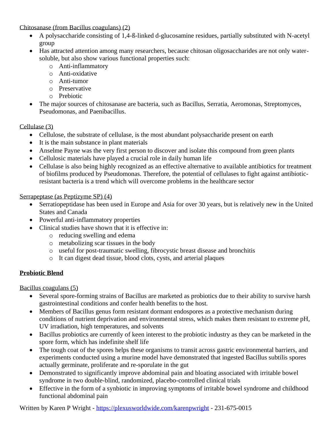Chitosanase (from Bacillus coagulans) (2)

- A polysaccharide consisting of 1,4-ß-linked d-glucosamine residues, partially substituted with N-acetyl group
- Has attracted attention among many researchers, because chitosan oligosaccharides are not only watersoluble, but also show various functional properties such:
	- o Anti-inflammatory
	- o Anti-oxidative
	- o Anti-tumor
	- o Preservative
	- o Prebiotic
- The major sources of chitosanase are bacteria, such as Bacillus, Serratia, Aeromonas, Streptomyces, Pseudomonas, and Paenibacillus.

# Cellulase (3)

- Cellulose, the substrate of cellulase, is the most abundant polysaccharide present on earth
- It is the main substance in plant materials
- Anselme Payne was the very first person to discover and isolate this compound from green plants
- Cellulosic materials have played a crucial role in daily human life
- Cellulase is also being highly recognized as an effective alternative to available antibiotics for treatment of biofilms produced by Pseudomonas. Therefore, the potential of cellulases to fight against antibioticresistant bacteria is a trend which will overcome problems in the healthcare sector

# Serrapeptase (as Peptizyme SP) (4)

- Serratiopeptidase has been used in Europe and Asia for over 30 years, but is relatively new in the United States and Canada
- Powerful anti-inflammatory properties
- Clinical studies have shown that it is effective in:
	- o reducing swelling and edema
	- o metabolizing scar tissues in the body
	- o useful for post-traumatic swelling, fibrocystic breast disease and bronchitis
	- o It can digest dead tissue, blood clots, cysts, and arterial plaques

# **Probiotic Blend**

Bacillus coagulans (5)

- Several spore-forming strains of Bacillus are marketed as probiotics due to their ability to survive harsh gastrointestinal conditions and confer health benefits to the host.
- Members of Bacillus genus form resistant dormant endospores as a protective mechanism during conditions of nutrient deprivation and environmental stress, which makes them resistant to extreme pH, UV irradiation, high temperatures, and solvents
- Bacillus probiotics are currently of keen interest to the probiotic industry as they can be marketed in the spore form, which has indefinite shelf life
- The tough coat of the spores helps these organisms to transit across gastric environmental barriers, and experiments conducted using a murine model have demonstrated that ingested Bacillus subtilis spores actually germinate, proliferate and re-sporulate in the gut
- Demonstrated to significantly improve abdominal pain and bloating associated with irritable bowel syndrome in two double-blind, randomized, placebo-controlled clinical trials
- Effective in the form of a synbiotic in improving symptoms of irritable bowel syndrome and childhood functional abdominal pain

Written by Karen P Wright - <https://plexusworldwide.com/karenpwright> - 231-675-0015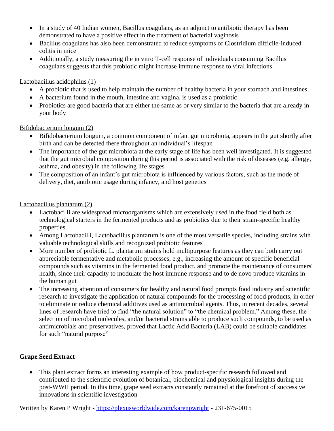- In a study of 40 Indian women, Bacillus coagulans, as an adjunct to antibiotic therapy has been demonstrated to have a positive effect in the treatment of bacterial vaginosis
- Bacillus coagulans has also been demonstrated to reduce symptoms of Clostridium difficile-induced colitis in mice
- Additionally, a study measuring the in vitro T-cell response of individuals consuming Bacillus coagulans suggests that this probiotic might increase immune response to viral infections

# Lactobacillus acidophilus (1)

- A probiotic that is used to help maintain the number of healthy bacteria in your stomach and intestines
- A bacterium found in the mouth, intestine and vagina, is used as a probiotic
- Probiotics are good bacteria that are either the same as or very similar to the bacteria that are already in your body

# Bifidobacterium longum (2)

- Bifidobacterium longum, a common component of infant gut microbiota, appears in the gut shortly after birth and can be detected there throughout an individual's lifespan
- The importance of the gut microbiota at the early stage of life has been well investigated. It is suggested that the gut microbial composition during this period is associated with the risk of diseases (e.g. allergy, asthma, and obesity) in the following life stages
- The composition of an infant's gut microbiota is influenced by various factors, such as the mode of delivery, diet, antibiotic usage during infancy, and host genetics

# Lactobacillus plantarum (2)

- Lactobacilli are widespread microorganisms which are extensively used in the food field both as technological starters in the fermented products and as probiotics due to their strain-specific healthy properties
- Among Lactobacilli, Lactobacillus plantarum is one of the most versatile species, including strains with valuable technological skills and recognized probiotic features
- More number of probiotic L. plantarum strains hold multipurpose features as they can both carry out appreciable fermentative and metabolic processes, e.g., increasing the amount of specific beneficial compounds such as vitamins in the fermented food product, and promote the maintenance of consumers' health, since their capacity to modulate the host immune response and to de novo produce vitamins in the human gut
- The increasing attention of consumers for healthy and natural food prompts food industry and scientific research to investigate the application of natural compounds for the processing of food products, in order to eliminate or reduce chemical additives used as antimicrobial agents. Thus, in recent decades, several lines of research have tried to find "the natural solution" to "the chemical problem." Among these, the selection of microbial molecules, and/or bacterial strains able to produce such compounds, to be used as antimicrobials and preservatives, proved that Lactic Acid Bacteria (LAB) could be suitable candidates for such "natural purpose"

# **Grape Seed Extract**

• This plant extract forms an interesting example of how product-specific research followed and contributed to the scientific evolution of botanical, biochemical and physiological insights during the post-WWII period. In this time, grape seed extracts constantly remained at the forefront of successive innovations in scientific investigation

Written by Karen P Wright - <https://plexusworldwide.com/karenpwright> - 231-675-0015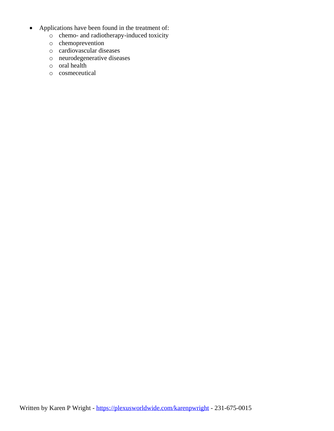- Applications have been found in the treatment of:
	- o chemo- and radiotherapy-induced toxicity
	- o chemoprevention
	- o cardiovascular diseases
	- o neurodegenerative diseases
	- o oral health
	- o cosmeceutical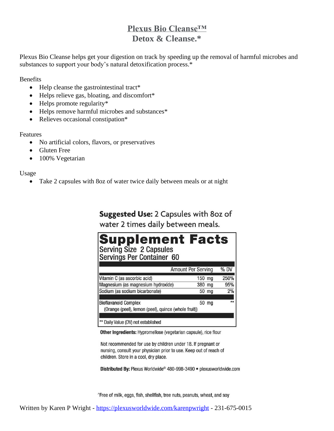# **Plexus Bio Cleanse™ Detox & Cleanse.\***

Plexus Bio Cleanse helps get your digestion on track by speeding up the removal of harmful microbes and substances to support your body's natural detoxification process.\*

Benefits

- Help cleanse the gastrointestinal tract\*
- Helps relieve gas, bloating, and discomfort\*
- Helps promote regularity\*
- Helps remove harmful microbes and substances\*
- Relieves occasional constipation\*

#### Features

- No artificial colors, flavors, or preservatives
- Gluten Free
- 100% Vegetarian

Usage

• Take 2 capsules with 8oz of water twice daily between meals or at night

# Suggested Use: 2 Capsules with 80z of

# water 2 times daily between meals.

|                                                                                            | % D'                                                                                                                                              |
|--------------------------------------------------------------------------------------------|---------------------------------------------------------------------------------------------------------------------------------------------------|
|                                                                                            | 250%                                                                                                                                              |
|                                                                                            | 95%                                                                                                                                               |
|                                                                                            | 2%                                                                                                                                                |
|                                                                                            | $\star\star$                                                                                                                                      |
| Serving Size 2 Capsules<br>Servings Per Container 60<br>Magnesium (as magnesium hydroxide) | <b>Supplement Facts</b><br><b>Amount Per Serving</b><br>150 mg<br>380 mg<br>50 mg<br>50 mg<br>(Orange (peel), lemon (peel), quince (whole fruit)) |

Other Ingredients: Hypromellose (vegetarian capsule), rice flour

Not recommended for use by children under 18. If pregnant or nursing, consult your physician prior to use. Keep out of reach of children. Store in a cool, dry place.

Distributed By: Plexus Worldwide® 480-998-3490 · plexusworldwide.com

^Free of milk, eggs, fish, shellfish, tree nuts, peanuts, wheat, and soy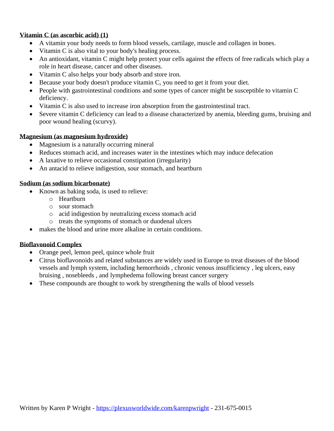# **Vitamin C (as ascorbic acid) (1)**

- A vitamin your body needs to form blood vessels, cartilage, muscle and collagen in bones.
- Vitamin C is also vital to your body's healing process.
- An antioxidant, vitamin C might help protect your cells against the effects of free radicals which play a role in heart disease, cancer and other diseases.
- Vitamin C also helps your body absorb and store iron.
- Because your body doesn't produce vitamin C, you need to get it from your diet.
- People with gastrointestinal conditions and some types of cancer might be susceptible to vitamin C deficiency.
- Vitamin C is also used to increase iron absorption from the gastrointestinal tract.
- Severe vitamin C deficiency can lead to a disease characterized by anemia, bleeding gums, bruising and poor wound healing (scurvy).

#### **Magnesium (as magnesium hydroxide)**

- Magnesium is a naturally occurring mineral
- Reduces stomach acid, and increases water in the intestines which may induce defecation
- A laxative to relieve occasional constipation (irregularity)
- An antacid to relieve indigestion, sour stomach, and heartburn

#### **Sodium (as sodium bicarbonate)**

- Known as baking soda, is used to relieve:
	- o Heartburn
	- o sour stomach
	- o acid indigestion by neutralizing excess stomach acid
	- o treats the symptoms of stomach or duodenal ulcers
- makes the blood and urine more alkaline in certain conditions.

#### **Bioflavonoid Complex**

- Orange peel, lemon peel, quince whole fruit
- Citrus bioflavonoids and related substances are widely used in Europe to treat diseases of the blood vessels and lymph system, including hemorrhoids , chronic venous insufficiency , leg ulcers, easy bruising , nosebleeds , and lymphedema following breast cancer surgery
- These compounds are thought to work by strengthening the walls of blood vessels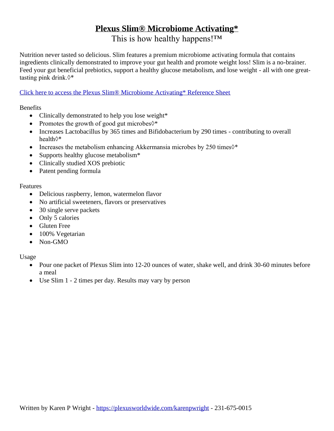# **Plexus Slim® Microbiome Activating\***

This is how healthy happens!<sup>™</sup>

Nutrition never tasted so delicious. Slim features a premium microbiome activating formula that contains ingredients clinically demonstrated to improve your gut health and promote weight loss! Slim is a no-brainer. Feed your gut beneficial prebiotics, support a healthy glucose metabolism, and lose weight - all with one greattasting pink drink.◊\*

# [Click here to access the Plexus Slim® Microbiome Activating\\* Reference Sheet](https://d2xz00m0afizja.cloudfront.net/cdn/plexus-slim-info-sheet.pdf)

**Benefits** 

- Clinically demonstrated to help you lose weight\*
- Promotes the growth of good gut microbes $\diamond^*$
- Increases Lactobacillus by 365 times and Bifidobacterium by 290 times contributing to overall health◊\*
- Increases the metabolism enhancing Akkermansia microbes by 250 times  $\diamond^*$
- Supports healthy glucose metabolism\*
- Clinically studied XOS prebiotic
- Patent pending formula

# Features

- Delicious raspberry, lemon, watermelon flavor
- No artificial sweeteners, flavors or preservatives
- 30 single serve packets
- Only 5 calories
- Gluten Free
- 100% Vegetarian
- Non-GMO

Usage

- Pour one packet of Plexus Slim into 12-20 ounces of water, shake well, and drink 30-60 minutes before a meal
- Use Slim 1 2 times per day. Results may vary by person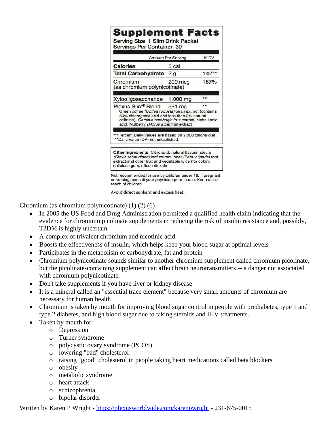|                                                                                                                                                                                                                                      | <b>Amount Per Serving</b> | % DV     |
|--------------------------------------------------------------------------------------------------------------------------------------------------------------------------------------------------------------------------------------|---------------------------|----------|
| <b>Calories</b>                                                                                                                                                                                                                      | 5 cal                     |          |
| <b>Total Carbohydrate</b>                                                                                                                                                                                                            | 2 g                       | $1\%***$ |
| Chromium<br>(as chromium polynicotinate)                                                                                                                                                                                             | 200 mcg                   | 167%     |
| Xylooligosaccharide                                                                                                                                                                                                                  | 1,000 mg                  | **       |
| Plexus Slim® Blend<br>Green coffee (Coffea robusta) bean extract (contains<br>50% chlorogenic acid and less than 2% natural<br>caffeine), Garcinia cambogia fruit extract, alpha lipoic<br>acid, Mulberry (Morus alba) fruit extract | 531 mg                    | **       |
| *** Percent Daily Values are based on 2,000 calorie diet<br>** Daily Value (DV) not established                                                                                                                                      |                           |          |

Not recommended for use by children under 18. If pregnant or nursing, consult your physician prior to use. Keep out of reach of children.

Avoid direct sunlight and excess heat.

Chromium (as chromium polynicotinate) (1) (2) (6)

- In 2005 the US Food and Drug Administration permitted a qualified health claim indicating that the evidence for chromium picolinate supplements in reducing the risk of insulin resistance and, possibly, T2DM is highly uncertain
- A complex of trivalent chromium and nicotinic acid.
- Boosts the effectiveness of insulin, which helps keep your blood sugar at optimal levels
- Participates in the metabolism of carbohydrate, fat and protein
- Chromium polynicotinate sounds similar to another chromium supplement called chromium picolinate, but the picolinate-containing supplement can affect brain neurotransmitters -- a danger not associated with chromium polynicotinate.
- Don't take supplements if you have liver or kidney disease
- It is a mineral called an "essential trace element" because very small amounts of chromium are necessary for human health
- Chromium is taken by mouth for improving blood sugar control in people with prediabetes, type 1 and type 2 diabetes, and high blood sugar due to taking steroids and HIV treatments.
- Taken by mouth for:
	- o Depression
	- o Turner syndrome
	- o polycystic ovary syndrome (PCOS)
	- o lowering "bad" cholesterol
	- o raising "good" cholesterol in people taking heart medications called beta blockers
	- o obesity
	- o metabolic syndrome
	- o heart attack
	- o schizophrenia
	- o bipolar disorder

Written by Karen P Wright - <https://plexusworldwide.com/karenpwright> - 231-675-0015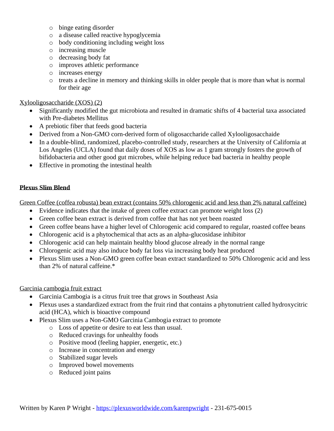- o binge eating disorder
- o a disease called reactive hypoglycemia
- o body conditioning including weight loss
- o increasing muscle
- o decreasing body fat
- o improves athletic performance
- o increases energy
- o treats a decline in memory and thinking skills in older people that is more than what is normal for their age

#### Xylooligosaccharide (XOS) (2)

- Significantly modified the gut microbiota and resulted in dramatic shifts of 4 bacterial taxa associated with Pre-diabetes Mellitus
- A prebiotic fiber that feeds good bacteria
- Derived from a Non-GMO corn-derived form of oligosaccharide called Xylooligosacchaide
- In a double-blind, randomized, placebo-controlled study, researchers at the University of California at Los Angeles (UCLA) found that daily doses of XOS as low as 1 gram strongly fosters the growth of bifidobacteria and other good gut microbes, while helping reduce bad bacteria in healthy people
- Effective in promoting the intestinal health

#### **Plexus Slim Blend**

Green Coffee (coffea robusta) bean extract (contains 50% chlorogenic acid and less than 2% natural caffeine)

- Evidence indicates that the intake of green coffee extract can promote weight loss (2)
- Green coffee bean extract is derived from coffee that has not yet been roasted
- Green coffee beans have a higher level of Chlorogenic acid compared to regular, roasted coffee beans
- Chlorogenic acid is a phytochemical that acts as an alpha-glucosidase inhibitor
- Chlorogenic acid can help maintain healthy blood glucose already in the normal range
- Chlorogenic acid may also induce body fat loss via increasing body heat produced
- Plexus Slim uses a Non-GMO green coffee bean extract standardized to 50% Chlorogenic acid and less than 2% of natural caffeine.\*

# Garcinia cambogia fruit extract

- Garcinia Cambogia is a citrus fruit tree that grows in Southeast Asia
- Plexus uses a standardized extract from the fruit rind that contains a phytonutrient called hydroxycitric acid (HCA), which is bioactive compound
- Plexus Slim uses a Non-GMO Garcinia Cambogia extract to promote
	- o Loss of appetite or desire to eat less than usual.
	- o Reduced cravings for unhealthy foods
	- o Positive mood (feeling happier, energetic, etc.)
	- o Increase in concentration and energy
	- o Stabilized sugar levels
	- o Improved bowel movements
	- o Reduced joint pains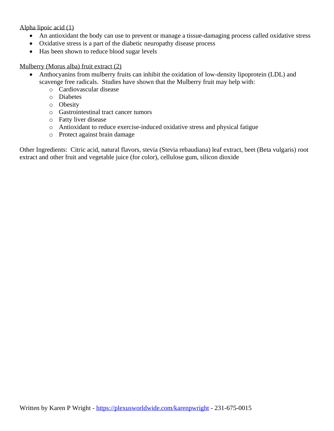#### Alpha lipoic acid (1)

- An antioxidant the body can use to prevent or manage a tissue-damaging process called oxidative stress
- Oxidative stress is a part of the diabetic neuropathy disease process
- Has been shown to reduce blood sugar levels

#### Mulberry (Morus alba) fruit extract (2)

- Anthocyanins from mulberry fruits can inhibit the oxidation of low-density lipoprotein (LDL) and scavenge free radicals. Studies have shown that the Mulberry fruit may help with:
	- o Cardiovascular disease
	- o Diabetes
	- o Obesity
	- o Gastrointestinal tract cancer tumors
	- o Fatty liver disease
	- o Antioxidant to reduce exercise-induced oxidative stress and physical fatigue
	- o Protect against brain damage

Other Ingredients: Citric acid, natural flavors, stevia (Stevia rebaudiana) leaf extract, beet (Beta vulgaris) root extract and other fruit and vegetable juice (for color), cellulose gum, silicon dioxide